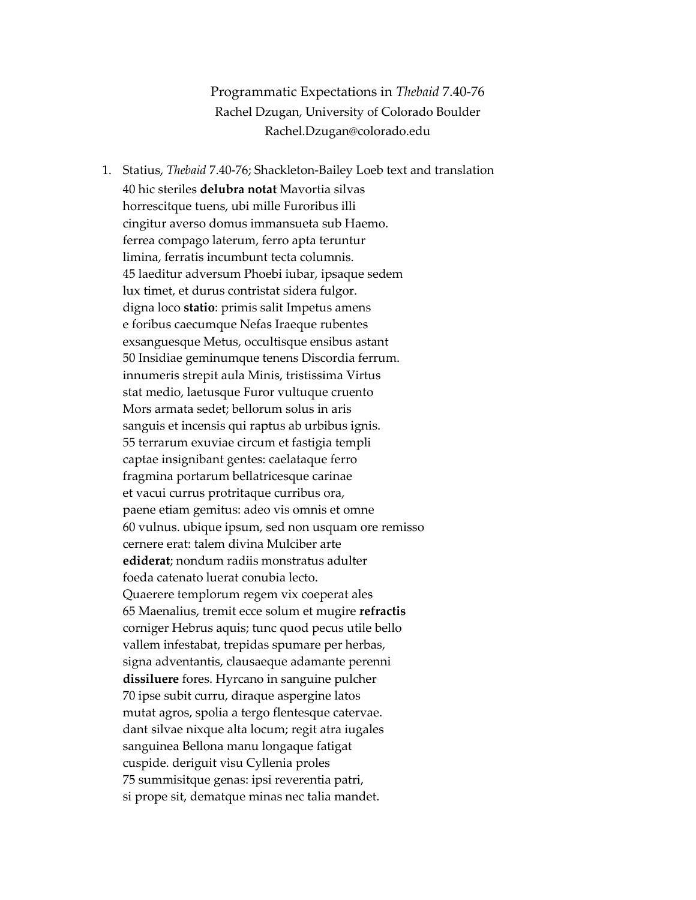Programmatic Expectations in *Thebaid* 7.40-76 Rachel Dzugan, University of Colorado Boulder Rachel.Dzugan@colorado.edu

1. Statius, *Thebaid* 7.40-76; Shackleton-Bailey Loeb text and translation 40 hic steriles **delubra notat** Mavortia silvas horrescitque tuens, ubi mille Furoribus illi cingitur averso domus immansueta sub Haemo. ferrea compago laterum, ferro apta teruntur limina, ferratis incumbunt tecta columnis. 45 laeditur adversum Phoebi iubar, ipsaque sedem lux timet, et durus contristat sidera fulgor. digna loco **statio**: primis salit Impetus amens e foribus caecumque Nefas Iraeque rubentes exsanguesque Metus, occultisque ensibus astant 50 Insidiae geminumque tenens Discordia ferrum. innumeris strepit aula Minis, tristissima Virtus stat medio, laetusque Furor vultuque cruento Mors armata sedet; bellorum solus in aris sanguis et incensis qui raptus ab urbibus ignis. 55 terrarum exuviae circum et fastigia templi captae insignibant gentes: caelataque ferro fragmina portarum bellatricesque carinae et vacui currus protritaque curribus ora, paene etiam gemitus: adeo vis omnis et omne 60 vulnus. ubique ipsum, sed non usquam ore remisso cernere erat: talem divina Mulciber arte **ediderat**; nondum radiis monstratus adulter foeda catenato luerat conubia lecto. Quaerere templorum regem vix coeperat ales 65 Maenalius, tremit ecce solum et mugire **refractis** corniger Hebrus aquis; tunc quod pecus utile bello vallem infestabat, trepidas spumare per herbas, signa adventantis, clausaeque adamante perenni **dissiluere** fores. Hyrcano in sanguine pulcher 70 ipse subit curru, diraque aspergine latos mutat agros, spolia a tergo flentesque catervae. dant silvae nixque alta locum; regit atra iugales sanguinea Bellona manu longaque fatigat cuspide. deriguit visu Cyllenia proles 75 summisitque genas: ipsi reverentia patri, si prope sit, dematque minas nec talia mandet.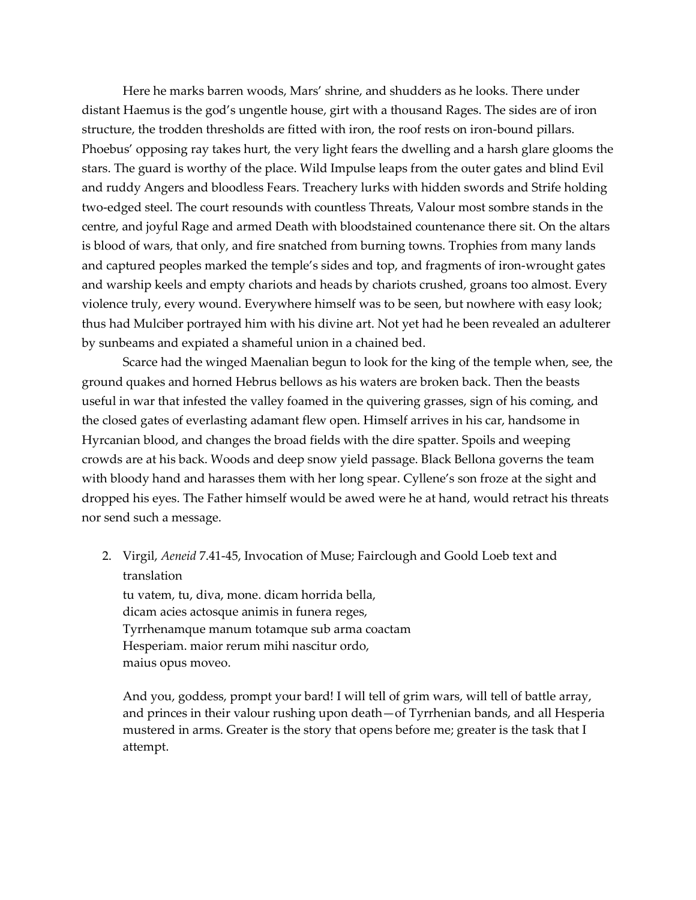Here he marks barren woods, Mars' shrine, and shudders as he looks. There under distant Haemus is the god's ungentle house, girt with a thousand Rages. The sides are of iron structure, the trodden thresholds are fitted with iron, the roof rests on iron-bound pillars. Phoebus' opposing ray takes hurt, the very light fears the dwelling and a harsh glare glooms the stars. The guard is worthy of the place. Wild Impulse leaps from the outer gates and blind Evil and ruddy Angers and bloodless Fears. Treachery lurks with hidden swords and Strife holding two-edged steel. The court resounds with countless Threats, Valour most sombre stands in the centre, and joyful Rage and armed Death with bloodstained countenance there sit. On the altars is blood of wars, that only, and fire snatched from burning towns. Trophies from many lands and captured peoples marked the temple's sides and top, and fragments of iron-wrought gates and warship keels and empty chariots and heads by chariots crushed, groans too almost. Every violence truly, every wound. Everywhere himself was to be seen, but nowhere with easy look; thus had Mulciber portrayed him with his divine art. Not yet had he been revealed an adulterer by sunbeams and expiated a shameful union in a chained bed.

Scarce had the winged Maenalian begun to look for the king of the temple when, see, the ground quakes and horned Hebrus bellows as his waters are broken back. Then the beasts useful in war that infested the valley foamed in the quivering grasses, sign of his coming, and the closed gates of everlasting adamant flew open. Himself arrives in his car, handsome in Hyrcanian blood, and changes the broad fields with the dire spatter. Spoils and weeping crowds are at his back. Woods and deep snow yield passage. Black Bellona governs the team with bloody hand and harasses them with her long spear. Cyllene's son froze at the sight and dropped his eyes. The Father himself would be awed were he at hand, would retract his threats nor send such a message.

2. Virgil, *Aeneid* 7.41-45, Invocation of Muse; Fairclough and Goold Loeb text and translation

tu vatem, tu, diva, mone. dicam horrida bella, dicam acies actosque animis in funera reges, Tyrrhenamque manum totamque sub arma coactam Hesperiam. maior rerum mihi nascitur ordo, maius opus moveo.

And you, goddess, prompt your bard! I will tell of grim wars, will tell of battle array, and princes in their valour rushing upon death—of Tyrrhenian bands, and all Hesperia mustered in arms. Greater is the story that opens before me; greater is the task that I attempt.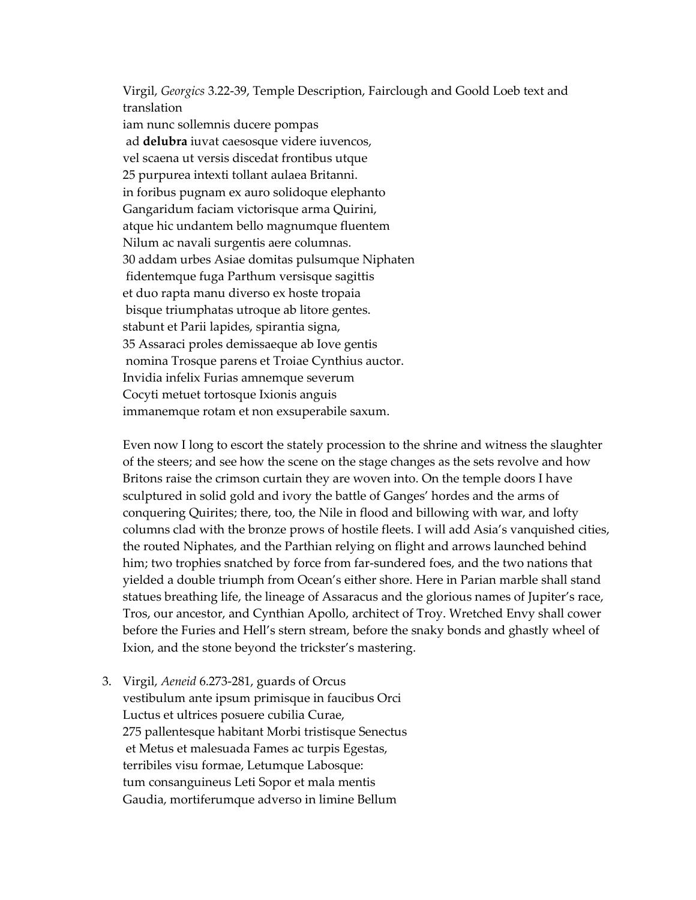Virgil, *Georgics* 3.22-39, Temple Description, Fairclough and Goold Loeb text and translation

iam nunc sollemnis ducere pompas ad **delubra** iuvat caesosque videre iuvencos, vel scaena ut versis discedat frontibus utque 25 purpurea intexti tollant aulaea Britanni. in foribus pugnam ex auro solidoque elephanto Gangaridum faciam victorisque arma Quirini, atque hic undantem bello magnumque fluentem Nilum ac navali surgentis aere columnas. 30 addam urbes Asiae domitas pulsumque Niphaten fidentemque fuga Parthum versisque sagittis et duo rapta manu diverso ex hoste tropaia bisque triumphatas utroque ab litore gentes. stabunt et Parii lapides, spirantia signa, 35 Assaraci proles demissaeque ab Iove gentis nomina Trosque parens et Troiae Cynthius auctor. Invidia infelix Furias amnemque severum Cocyti metuet tortosque Ixionis anguis immanemque rotam et non exsuperabile saxum.

Even now I long to escort the stately procession to the shrine and witness the slaughter of the steers; and see how the scene on the stage changes as the sets revolve and how Britons raise the crimson curtain they are woven into. On the temple doors I have sculptured in solid gold and ivory the battle of Ganges' hordes and the arms of conquering Quirites; there, too, the Nile in flood and billowing with war, and lofty columns clad with the bronze prows of hostile fleets. I will add Asia's vanquished cities, the routed Niphates, and the Parthian relying on flight and arrows launched behind him; two trophies snatched by force from far-sundered foes, and the two nations that yielded a double triumph from Ocean's either shore. Here in Parian marble shall stand statues breathing life, the lineage of Assaracus and the glorious names of Jupiter's race, Tros, our ancestor, and Cynthian Apollo, architect of Troy. Wretched Envy shall cower before the Furies and Hell's stern stream, before the snaky bonds and ghastly wheel of Ixion, and the stone beyond the trickster's mastering.

3. Virgil, *Aeneid* 6.273-281, guards of Orcus vestibulum ante ipsum primisque in faucibus Orci Luctus et ultrices posuere cubilia Curae, 275 pallentesque habitant Morbi tristisque Senectus et Metus et malesuada Fames ac turpis Egestas, terribiles visu formae, Letumque Labosque: tum consanguineus Leti Sopor et mala mentis Gaudia, mortiferumque adverso in limine Bellum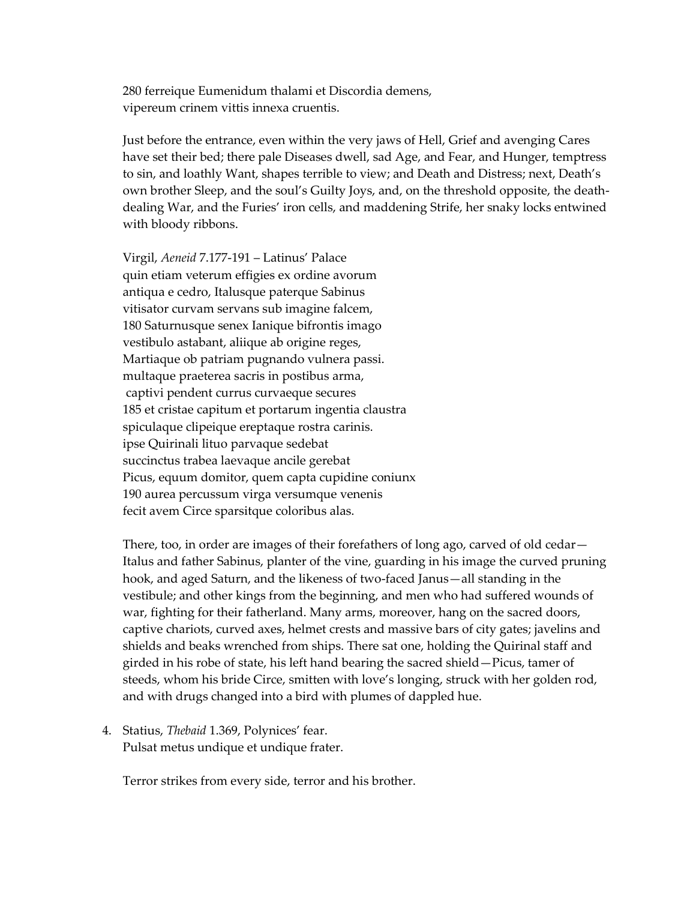280 ferreique Eumenidum thalami et Discordia demens, vipereum crinem vittis innexa cruentis.

Just before the entrance, even within the very jaws of Hell, Grief and avenging Cares have set their bed; there pale Diseases dwell, sad Age, and Fear, and Hunger, temptress to sin, and loathly Want, shapes terrible to view; and Death and Distress; next, Death's own brother Sleep, and the soul's Guilty Joys, and, on the threshold opposite, the deathdealing War, and the Furies' iron cells, and maddening Strife, her snaky locks entwined with bloody ribbons.

Virgil, *Aeneid* 7.177-191 – Latinus' Palace quin etiam veterum effigies ex ordine avorum antiqua e cedro, Italusque paterque Sabinus vitisator curvam servans sub imagine falcem, 180 Saturnusque senex Ianique bifrontis imago vestibulo astabant, aliique ab origine reges, Martiaque ob patriam pugnando vulnera passi. multaque praeterea sacris in postibus arma, captivi pendent currus curvaeque secures 185 et cristae capitum et portarum ingentia claustra spiculaque clipeique ereptaque rostra carinis. ipse Quirinali lituo parvaque sedebat succinctus trabea laevaque ancile gerebat Picus, equum domitor, quem capta cupidine coniunx 190 aurea percussum virga versumque venenis fecit avem Circe sparsitque coloribus alas.

There, too, in order are images of their forefathers of long ago, carved of old cedar— Italus and father Sabinus, planter of the vine, guarding in his image the curved pruning hook, and aged Saturn, and the likeness of two-faced Janus—all standing in the vestibule; and other kings from the beginning, and men who had suffered wounds of war, fighting for their fatherland. Many arms, moreover, hang on the sacred doors, captive chariots, curved axes, helmet crests and massive bars of city gates; javelins and shields and beaks wrenched from ships. There sat one, holding the Quirinal staff and girded in his robe of state, his left hand bearing the sacred shield—Picus, tamer of steeds, whom his bride Circe, smitten with love's longing, struck with her golden rod, and with drugs changed into a bird with plumes of dappled hue.

4. Statius, *Thebaid* 1.369, Polynices' fear. Pulsat metus undique et undique frater.

Terror strikes from every side, terror and his brother.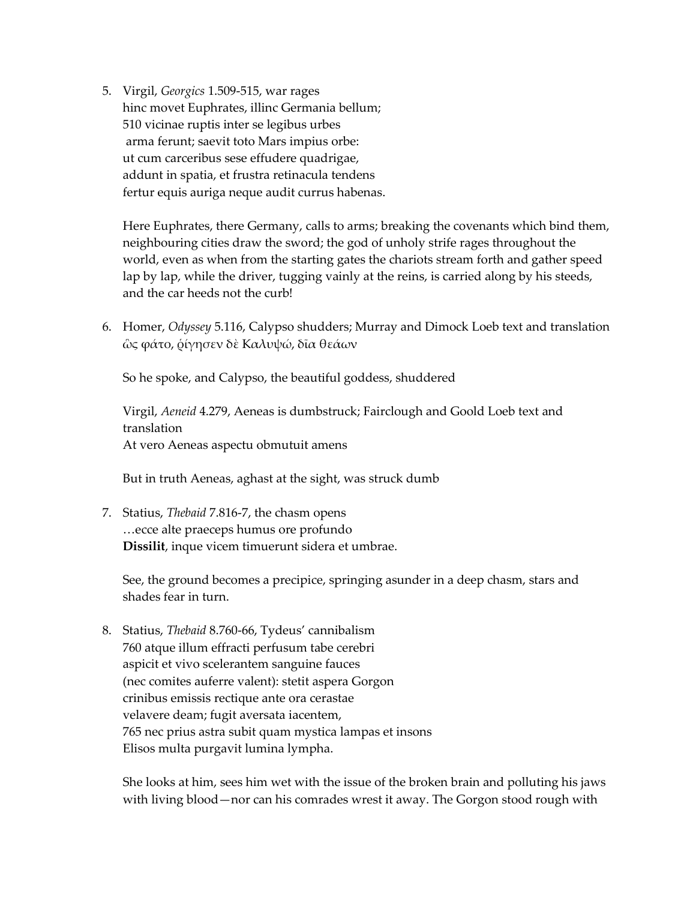5. Virgil, *Georgics* 1.509-515, war rages hinc movet Euphrates, illinc Germania bellum; 510 vicinae ruptis inter se legibus urbes arma ferunt; saevit toto Mars impius orbe: ut cum carceribus sese effudere quadrigae, addunt in spatia, et frustra retinacula tendens fertur equis auriga neque audit currus habenas.

Here Euphrates, there Germany, calls to arms; breaking the covenants which bind them, neighbouring cities draw the sword; the god of unholy strife rages throughout the world, even as when from the starting gates the chariots stream forth and gather speed lap by lap, while the driver, tugging vainly at the reins, is carried along by his steeds, and the car heeds not the curb!

6. Homer, *Odyssey* 5.116, Calypso shudders; Murray and Dimock Loeb text and translation ὣς φάτο, ῥίγησεν δὲ Καλυψώ, δῖα θεάων

So he spoke, and Calypso, the beautiful goddess, shuddered

Virgil, *Aeneid* 4.279, Aeneas is dumbstruck; Fairclough and Goold Loeb text and translation At vero Aeneas aspectu obmutuit amens

But in truth Aeneas, aghast at the sight, was struck dumb

7. Statius, *Thebaid* 7.816-7, the chasm opens …ecce alte praeceps humus ore profundo **Dissilit**, inque vicem timuerunt sidera et umbrae.

See, the ground becomes a precipice, springing asunder in a deep chasm, stars and shades fear in turn.

8. Statius, *Thebaid* 8.760-66, Tydeus' cannibalism 760 atque illum effracti perfusum tabe cerebri aspicit et vivo scelerantem sanguine fauces (nec comites auferre valent): stetit aspera Gorgon crinibus emissis rectique ante ora cerastae velavere deam; fugit aversata iacentem, 765 nec prius astra subit quam mystica lampas et insons Elisos multa purgavit lumina lympha.

She looks at him, sees him wet with the issue of the broken brain and polluting his jaws with living blood—nor can his comrades wrest it away. The Gorgon stood rough with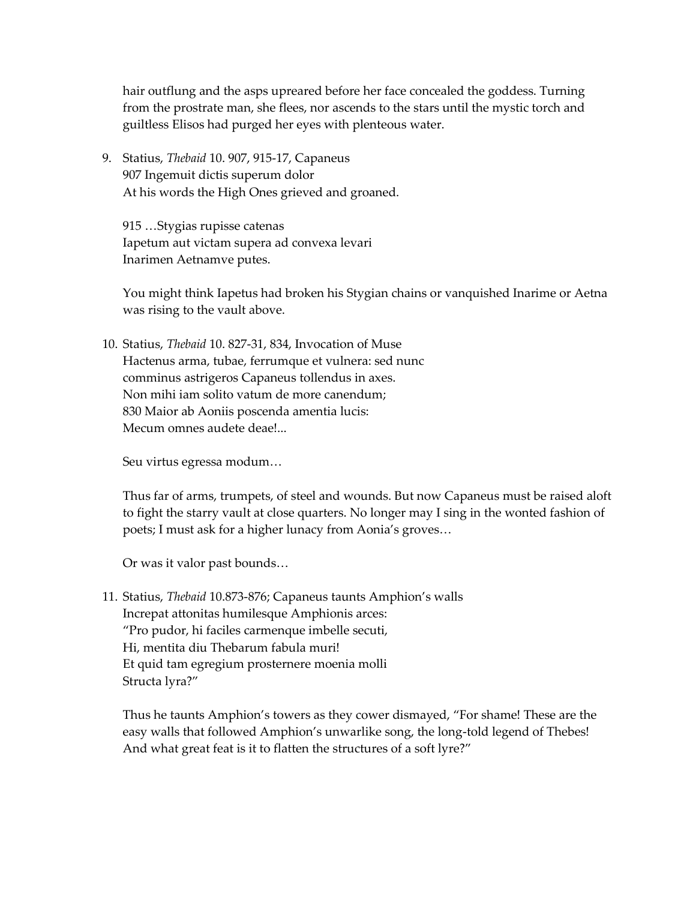hair outflung and the asps upreared before her face concealed the goddess. Turning from the prostrate man, she flees, nor ascends to the stars until the mystic torch and guiltless Elisos had purged her eyes with plenteous water.

9. Statius, *Thebaid* 10. 907, 915-17, Capaneus 907 Ingemuit dictis superum dolor At his words the High Ones grieved and groaned.

915 …Stygias rupisse catenas Iapetum aut victam supera ad convexa levari Inarimen Aetnamve putes.

You might think Iapetus had broken his Stygian chains or vanquished Inarime or Aetna was rising to the vault above.

10. Statius, *Thebaid* 10. 827-31, 834, Invocation of Muse Hactenus arma, tubae, ferrumque et vulnera: sed nunc comminus astrigeros Capaneus tollendus in axes. Non mihi iam solito vatum de more canendum; 830 Maior ab Aoniis poscenda amentia lucis: Mecum omnes audete deae!...

Seu virtus egressa modum…

Thus far of arms, trumpets, of steel and wounds. But now Capaneus must be raised aloft to fight the starry vault at close quarters. No longer may I sing in the wonted fashion of poets; I must ask for a higher lunacy from Aonia's groves…

Or was it valor past bounds…

11. Statius, *Thebaid* 10.873-876; Capaneus taunts Amphion's walls Increpat attonitas humilesque Amphionis arces: "Pro pudor, hi faciles carmenque imbelle secuti, Hi, mentita diu Thebarum fabula muri! Et quid tam egregium prosternere moenia molli Structa lyra?"

Thus he taunts Amphion's towers as they cower dismayed, "For shame! These are the easy walls that followed Amphion's unwarlike song, the long-told legend of Thebes! And what great feat is it to flatten the structures of a soft lyre?"